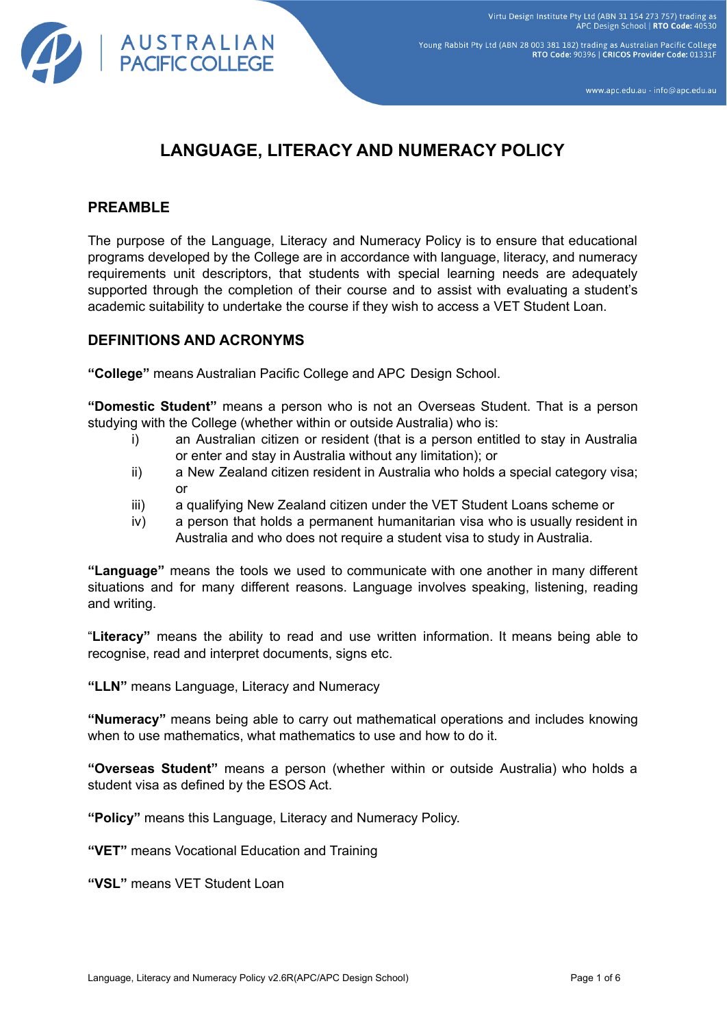

Young Rabbit Pty Ltd (ABN 28 003 381 182) trading as Australian Pacific College RTO Code: 90396 | CRICOS Provider Code: 01331F

www.apc.edu.au - info@apc.edu.au

# **LANGUAGE, LITERACY AND NUMERACY POLICY**

#### **PREAMBLE**

The purpose of the Language, Literacy and Numeracy Policy is to ensure that educational programs developed by the College are in accordance with language, literacy, and numeracy requirements unit descriptors, that students with special learning needs are adequately supported through the completion of their course and to assist with evaluating a student's academic suitability to undertake the course if they wish to access a VET Student Loan.

#### **DEFINITIONS AND ACRONYMS**

**"College"** means Australian Pacific College and APC Design School.

**"Domestic Student"** means a person who is not an Overseas Student. That is a person studying with the College (whether within or outside Australia) who is:

- i) an Australian citizen or resident (that is a person entitled to stay in Australia or enter and stay in Australia without any limitation); or
- ii) a New Zealand citizen resident in Australia who holds a special category visa; or
- iii) a qualifying New Zealand citizen under the VET Student Loans scheme or
- iv) a person that holds a permanent humanitarian visa who is usually resident in Australia and who does not require a student visa to study in Australia.

**"Language"** means the tools we used to communicate with one another in many different situations and for many different reasons. Language involves speaking, listening, reading and writing.

"**Literacy"** means the ability to read and use written information. It means being able to recognise, read and interpret documents, signs etc.

**"LLN"** means Language, Literacy and Numeracy

**"Numeracy"** means being able to carry out mathematical operations and includes knowing when to use mathematics, what mathematics to use and how to do it.

**"Overseas Student"** means a person (whether within or outside Australia) who holds a student visa as defined by the ESOS Act.

**"Policy"** means this Language, Literacy and Numeracy Policy.

**"VET"** means Vocational Education and Training

**"VSL"** means VET Student Loan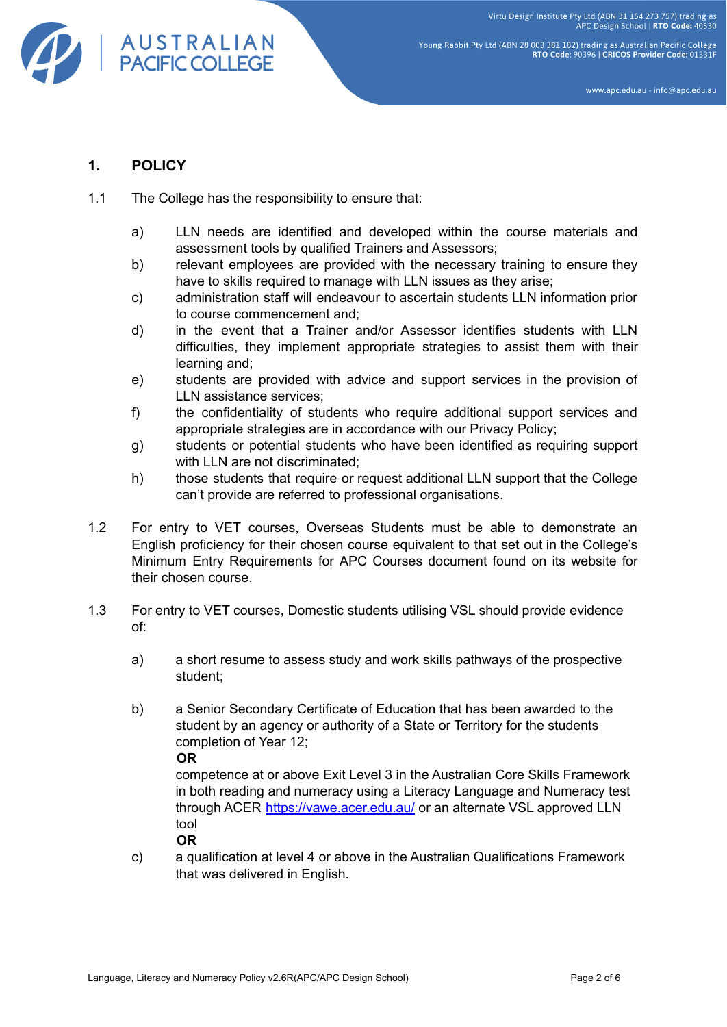Virtu Design Institute Pty Ltd (ABN 31 154 273 757) trading as<br>APC Design School | RTO Code: 40530



Young Rabbit Pty Ltd (ABN 28 003 381 182) trading as Australian Pacific College RTO Code: 90396 | CRICOS Provider Code: 01331F

www.apc.edu.au - info@apc.edu.au

### **1. POLICY**

- 1.1 The College has the responsibility to ensure that:
	- a) LLN needs are identified and developed within the course materials and assessment tools by qualified Trainers and Assessors;
	- b) relevant employees are provided with the necessary training to ensure they have to skills required to manage with LLN issues as they arise;
	- c) administration staff will endeavour to ascertain students LLN information prior to course commencement and;
	- d) in the event that a Trainer and/or Assessor identifies students with LLN difficulties, they implement appropriate strategies to assist them with their learning and;
	- e) students are provided with advice and support services in the provision of LLN assistance services;
	- f) the confidentiality of students who require additional support services and appropriate strategies are in accordance with our Privacy Policy;
	- g) students or potential students who have been identified as requiring support with LLN are not discriminated:
	- h) those students that require or request additional LLN support that the College can't provide are referred to professional organisations.
- 1.2 For entry to VET courses, Overseas Students must be able to demonstrate an English proficiency for their chosen course equivalent to that set out in the College's Minimum Entry Requirements for APC Courses document found on its website for their chosen course.
- 1.3 For entry to VET courses, Domestic students utilising VSL should provide evidence of:
	- a) a short resume to assess study and work skills pathways of the prospective student;
	- b) a Senior Secondary Certificate of Education that has been awarded to the student by an agency or authority of a State or Territory for the students completion of Year 12;

**OR**

competence at or above Exit Level 3 in the Australian Core Skills Framework in both reading and numeracy using a Literacy Language and Numeracy test through ACER <https://vawe.acer.edu.au/> or an alternate VSL approved LLN tool

**OR**

c) a qualification at level 4 or above in the Australian Qualifications Framework that was delivered in English.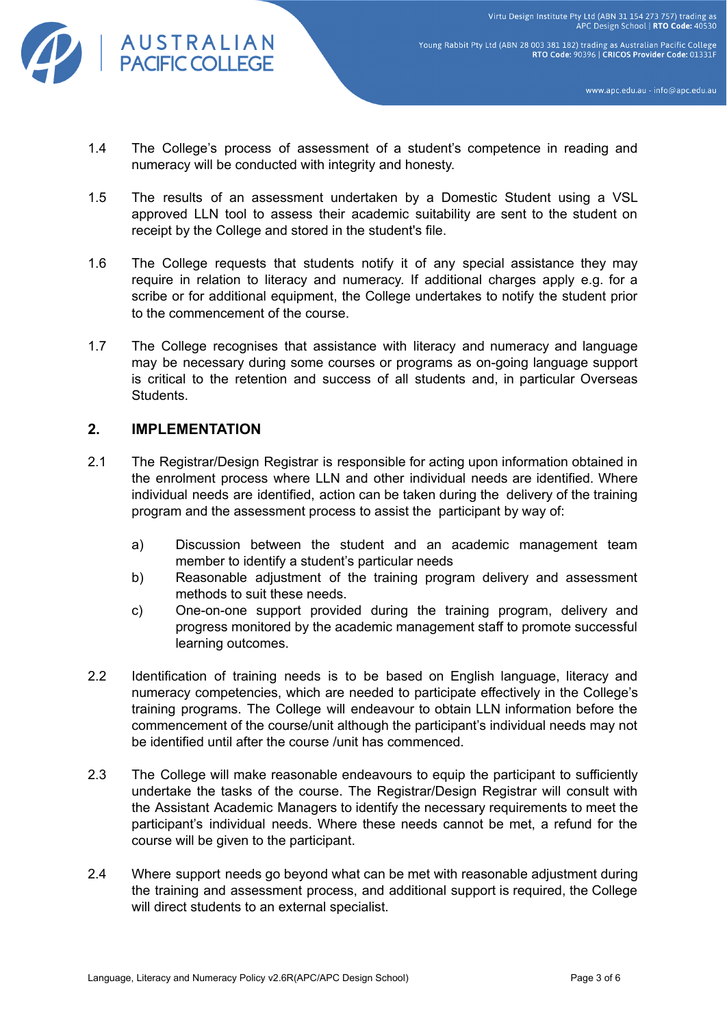

Young Rabbit Pty Ltd (ABN 28 003 381 182) trading as Australian Pacific College RTO Code: 90396 | CRICOS Provider Code: 01331

www.apc.edu.au - info@apc.edu.au

- 1.4 The College's process of assessment of a student's competence in reading and numeracy will be conducted with integrity and honesty.
- 1.5 The results of an assessment undertaken by a Domestic Student using a VSL approved LLN tool to assess their academic suitability are sent to the student on receipt by the College and stored in the student's file.
- 1.6 The College requests that students notify it of any special assistance they may require in relation to literacy and numeracy. If additional charges apply e.g. for a scribe or for additional equipment, the College undertakes to notify the student prior to the commencement of the course.
- 1.7 The College recognises that assistance with literacy and numeracy and language may be necessary during some courses or programs as on-going language support is critical to the retention and success of all students and, in particular Overseas Students.

#### **2. IMPLEMENTATION**

- 2.1 The Registrar/Design Registrar is responsible for acting upon information obtained in the enrolment process where LLN and other individual needs are identified. Where individual needs are identified, action can be taken during the delivery of the training program and the assessment process to assist the participant by way of:
	- a) Discussion between the student and an academic management team member to identify a student's particular needs
	- b) Reasonable adjustment of the training program delivery and assessment methods to suit these needs.
	- c) One-on-one support provided during the training program, delivery and progress monitored by the academic management staff to promote successful learning outcomes.
- 2.2 Identification of training needs is to be based on English language, literacy and numeracy competencies, which are needed to participate effectively in the College's training programs. The College will endeavour to obtain LLN information before the commencement of the course/unit although the participant's individual needs may not be identified until after the course /unit has commenced.
- 2.3 The College will make reasonable endeavours to equip the participant to sufficiently undertake the tasks of the course. The Registrar/Design Registrar will consult with the Assistant Academic Managers to identify the necessary requirements to meet the participant's individual needs. Where these needs cannot be met, a refund for the course will be given to the participant.
- 2.4 Where support needs go beyond what can be met with reasonable adjustment during the training and assessment process, and additional support is required, the College will direct students to an external specialist.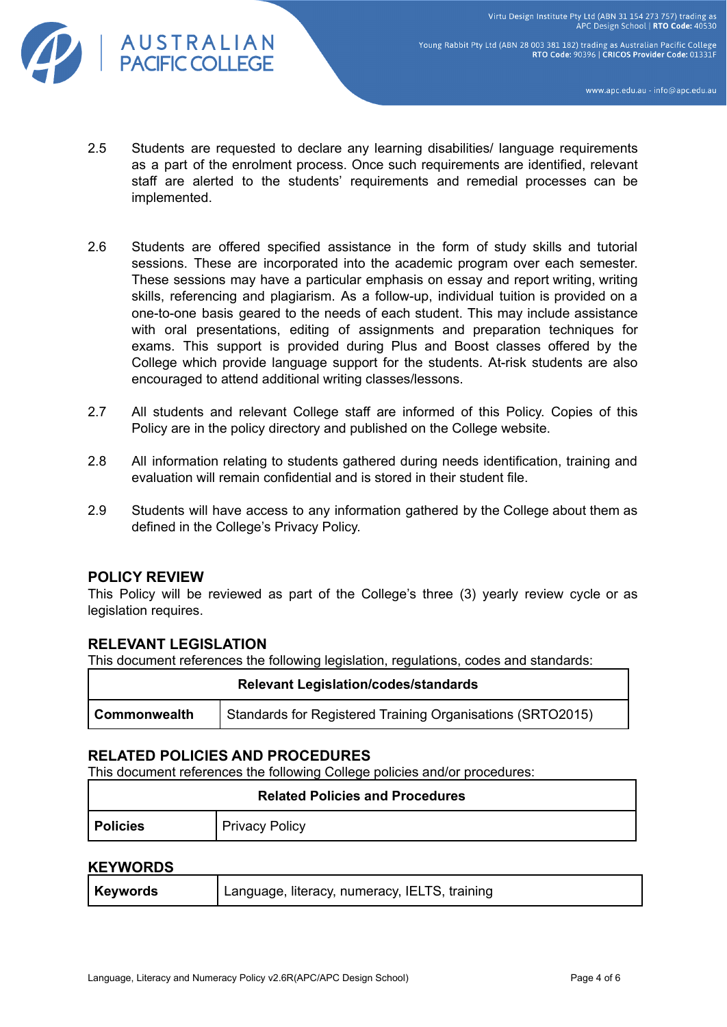Virtu Design Institute Pty Ltd (ABN 31 154 273 757) trading as<br>APC Design School | RTO Code: 40530



Young Rabbit Pty Ltd (ABN 28 003 381 182) trading as Australian Pacific College RTO Code: 90396 | CRICOS Provider Code: 01331F

www.apc.edu.au - info@apc.edu.au

- 2.5 Students are requested to declare any learning disabilities/ language requirements as a part of the enrolment process. Once such requirements are identified, relevant staff are alerted to the students' requirements and remedial processes can be implemented.
- 2.6 Students are offered specified assistance in the form of study skills and tutorial sessions. These are incorporated into the academic program over each semester. These sessions may have a particular emphasis on essay and report writing, writing skills, referencing and plagiarism. As a follow-up, individual tuition is provided on a one-to-one basis geared to the needs of each student. This may include assistance with oral presentations, editing of assignments and preparation techniques for exams. This support is provided during Plus and Boost classes offered by the College which provide language support for the students. At-risk students are also encouraged to attend additional writing classes/lessons.
- 2.7 All students and relevant College staff are informed of this Policy. Copies of this Policy are in the policy directory and published on the College website.
- 2.8 All information relating to students gathered during needs identification, training and evaluation will remain confidential and is stored in their student file.
- 2.9 Students will have access to any information gathered by the College about them as defined in the College's Privacy Policy.

#### **POLICY REVIEW**

This Policy will be reviewed as part of the College's three (3) yearly review cycle or as legislation requires.

#### **RELEVANT LEGISLATION**

This document references the following legislation, regulations, codes and standards:

| <b>Relevant Legislation/codes/standards</b> |                                                            |  |  |  |
|---------------------------------------------|------------------------------------------------------------|--|--|--|
| <b>Commonwealth</b>                         | Standards for Registered Training Organisations (SRTO2015) |  |  |  |

#### **RELATED POLICIES AND PROCEDURES**

This document references the following College policies and/or procedures:

| <b>Related Policies and Procedures</b> |                       |  |  |
|----------------------------------------|-----------------------|--|--|
| <b>Policies</b>                        | <b>Privacy Policy</b> |  |  |

#### **KEYWORDS**

| Language, literacy, numeracy, IELTS, training<br><b>Keywords</b> |  |
|------------------------------------------------------------------|--|
|------------------------------------------------------------------|--|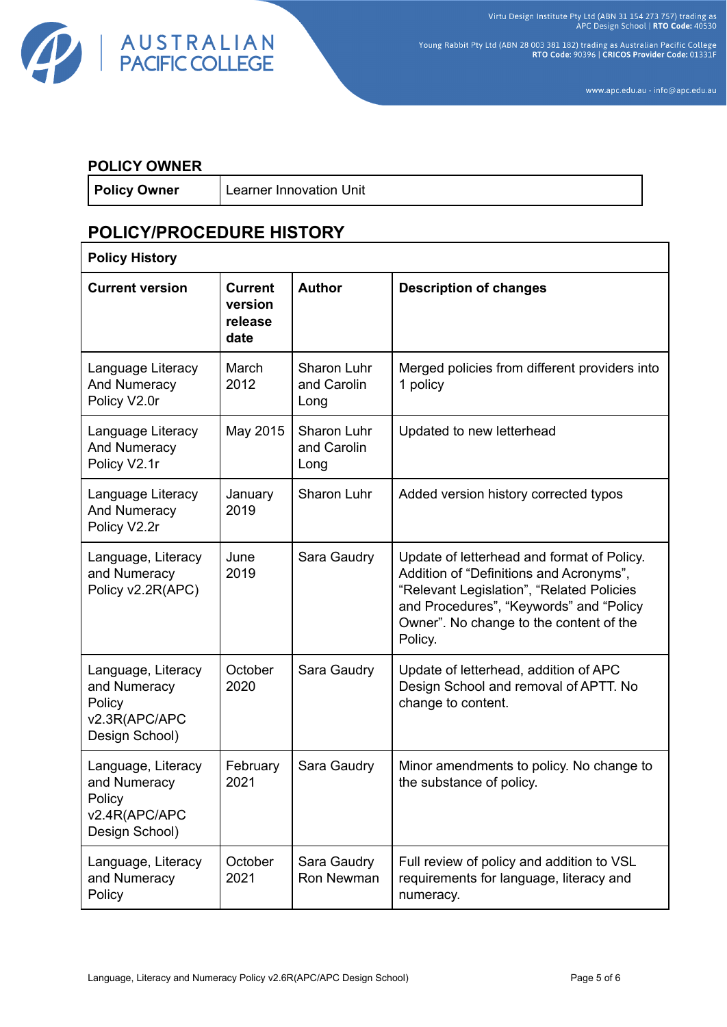Virtu Design Institute Pty Ltd (ABN 31 154 273 757) trading as<br>APC Design School | RTO Code: 40530



Young Rabbit Pty Ltd (ABN 28 003 381 182) trading as Australian Pacific College<br>RTO Code: 90396 | CRICOS Provider Code: 01331F

www.apc.edu.au - info@apc.edu.au

#### **POLICY OWNER**

r

**Policy Owner** | Learner Innovation Unit

## **POLICY/PROCEDURE HISTORY**

| <b>Policy History</b>                                                           |                                              |                                    |                                                                                                                                                                                                                                     |  |  |
|---------------------------------------------------------------------------------|----------------------------------------------|------------------------------------|-------------------------------------------------------------------------------------------------------------------------------------------------------------------------------------------------------------------------------------|--|--|
| <b>Current version</b>                                                          | <b>Current</b><br>version<br>release<br>date | <b>Author</b>                      | <b>Description of changes</b>                                                                                                                                                                                                       |  |  |
| Language Literacy<br>And Numeracy<br>Policy V2.0r                               | March<br>2012                                | Sharon Luhr<br>and Carolin<br>Long | Merged policies from different providers into<br>1 policy                                                                                                                                                                           |  |  |
| Language Literacy<br><b>And Numeracy</b><br>Policy V2.1r                        | May 2015                                     | Sharon Luhr<br>and Carolin<br>Long | Updated to new letterhead                                                                                                                                                                                                           |  |  |
| Language Literacy<br><b>And Numeracy</b><br>Policy V2.2r                        | January<br>2019                              | Sharon Luhr                        | Added version history corrected typos                                                                                                                                                                                               |  |  |
| Language, Literacy<br>and Numeracy<br>Policy v2.2R(APC)                         | June<br>2019                                 | Sara Gaudry                        | Update of letterhead and format of Policy.<br>Addition of "Definitions and Acronyms",<br>"Relevant Legislation", "Related Policies<br>and Procedures", "Keywords" and "Policy<br>Owner". No change to the content of the<br>Policy. |  |  |
| Language, Literacy<br>and Numeracy<br>Policy<br>v2.3R(APC/APC<br>Design School) | October<br>2020                              | Sara Gaudry                        | Update of letterhead, addition of APC<br>Design School and removal of APTT. No<br>change to content.                                                                                                                                |  |  |
| Language, Literacy<br>and Numeracy<br>Policy<br>v2.4R(APC/APC<br>Design School) | February<br>2021                             | Sara Gaudry                        | Minor amendments to policy. No change to<br>the substance of policy.                                                                                                                                                                |  |  |
| Language, Literacy<br>and Numeracy<br>Policy                                    | October<br>2021                              | Sara Gaudry<br>Ron Newman          | Full review of policy and addition to VSL<br>requirements for language, literacy and<br>numeracy.                                                                                                                                   |  |  |